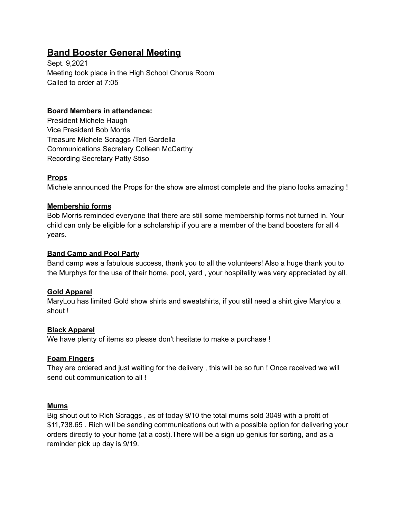# **Band Booster General Meeting**

Sept. 9,2021 Meeting took place in the High School Chorus Room Called to order at 7:05

# **Board Members in attendance:**

President Michele Haugh Vice President Bob Morris Treasure Michele Scraggs /Teri Gardella Communications Secretary Colleen McCarthy Recording Secretary Patty Stiso

# **Props**

Michele announced the Props for the show are almost complete and the piano looks amazing !

# **Membership forms**

Bob Morris reminded everyone that there are still some membership forms not turned in. Your child can only be eligible for a scholarship if you are a member of the band boosters for all 4 years.

# **Band Camp and Pool Party**

Band camp was a fabulous success, thank you to all the volunteers! Also a huge thank you to the Murphys for the use of their home, pool, yard , your hospitality was very appreciated by all.

# **Gold Apparel**

MaryLou has limited Gold show shirts and sweatshirts, if you still need a shirt give Marylou a shout !

# **Black Apparel**

We have plenty of items so please don't hesitate to make a purchase !

#### **Foam Fingers**

They are ordered and just waiting for the delivery , this will be so fun ! Once received we will send out communication to all !

# **Mums**

Big shout out to Rich Scraggs , as of today 9/10 the total mums sold 3049 with a profit of \$11,738.65 . Rich will be sending communications out with a possible option for delivering your orders directly to your home (at a cost).There will be a sign up genius for sorting, and as a reminder pick up day is 9/19.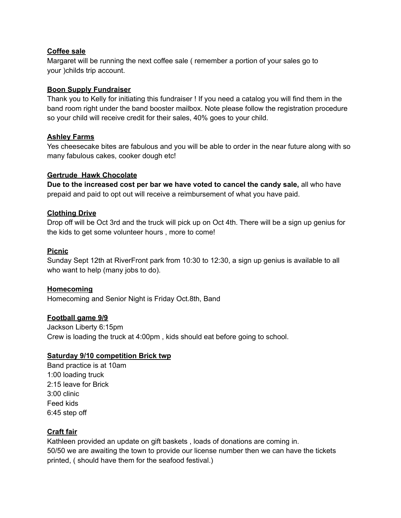#### **Coffee sale**

Margaret will be running the next coffee sale ( remember a portion of your sales go to your )childs trip account.

## **Boon Supply Fundraiser**

Thank you to Kelly for initiating this fundraiser ! If you need a catalog you will find them in the band room right under the band booster mailbox. Note please follow the registration procedure so your child will receive credit for their sales, 40% goes to your child.

## **Ashley Farms**

Yes cheesecake bites are fabulous and you will be able to order in the near future along with so many fabulous cakes, cooker dough etc!

## **Gertrude Hawk Chocolate**

**Due to the increased cost per bar we have voted to cancel the candy sale,** all who have prepaid and paid to opt out will receive a reimbursement of what you have paid.

## **Clothing Drive**

Drop off will be Oct 3rd and the truck will pick up on Oct 4th. There will be a sign up genius for the kids to get some volunteer hours , more to come!

## **Picnic**

Sunday Sept 12th at RiverFront park from 10:30 to 12:30, a sign up genius is available to all who want to help (many jobs to do).

# **Homecoming**

Homecoming and Senior Night is Friday Oct.8th, Band

#### **Football game 9/9**

Jackson Liberty 6:15pm Crew is loading the truck at 4:00pm , kids should eat before going to school.

#### **Saturday 9/10 competition Brick twp**

Band practice is at 10am 1:00 loading truck 2:15 leave for Brick 3:00 clinic Feed kids 6:45 step off

# **Craft fair**

Kathleen provided an update on gift baskets , loads of donations are coming in. 50/50 we are awaiting the town to provide our license number then we can have the tickets printed, ( should have them for the seafood festival.)